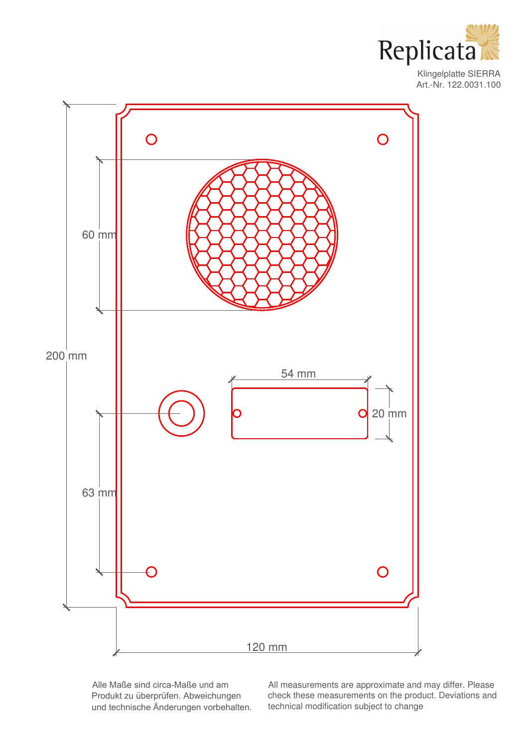

Klingelplatte SIERRA Art.-Nr. 122.0031.100



Alle Maße sind circa-Maße und am Produkt zu überprüfen. Abweichungen und technische Änderungen vorbehalten. All measurements are approximate and may differ. Please check these measurements on the product. Deviations and technical modification subject to change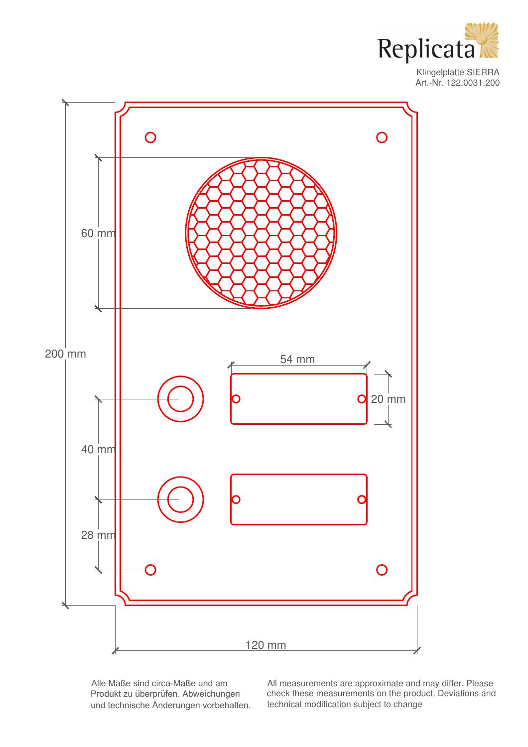

Klingelplatte SIERRA Art.-Nr. 122.0031.200



Alle Maße sind circa-Maße und am Produkt zu überprüfen. Abweichungen und technische Änderungen vorbehalten.

All measurements are approximate and may differ. Please check these measurements on the product. Deviations and technical modification subject to change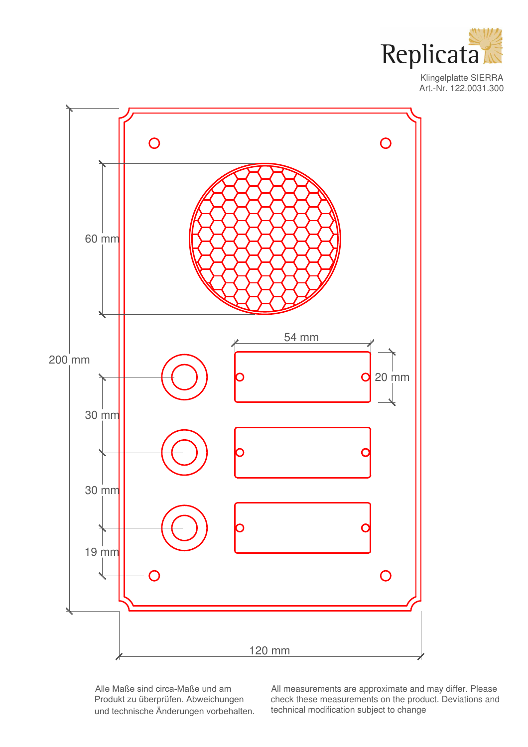

Klingelplatte SIERRA Art.-Nr. 122.0031.300



Alle Maße sind circa-Maße und am Produkt zu überprüfen. Abweichungen und technische Änderungen vorbehalten.

All measurements are approximate and may differ. Please check these measurements on the product. Deviations and technical modification subject to change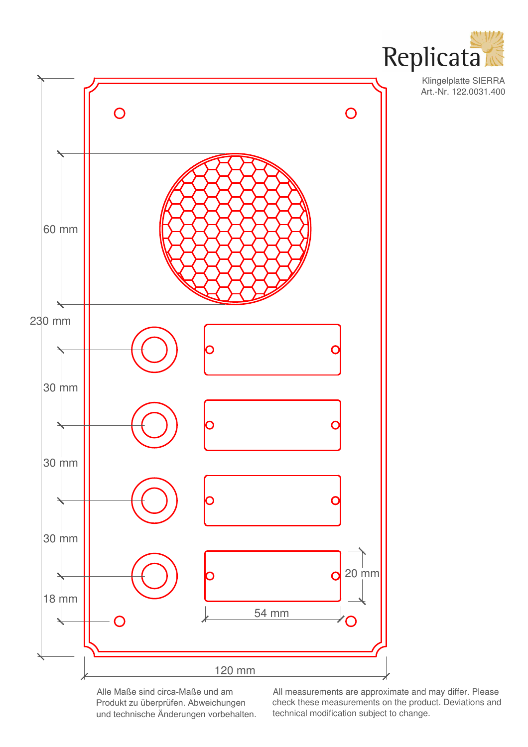





Alle Maße sind circa-Maße und am Produkt zu überprüfen. Abweichungen und technische Änderungen vorbehalten. All measurements are approximate and may differ. Please check these measurements on the product. Deviations and technical modification subject to change.